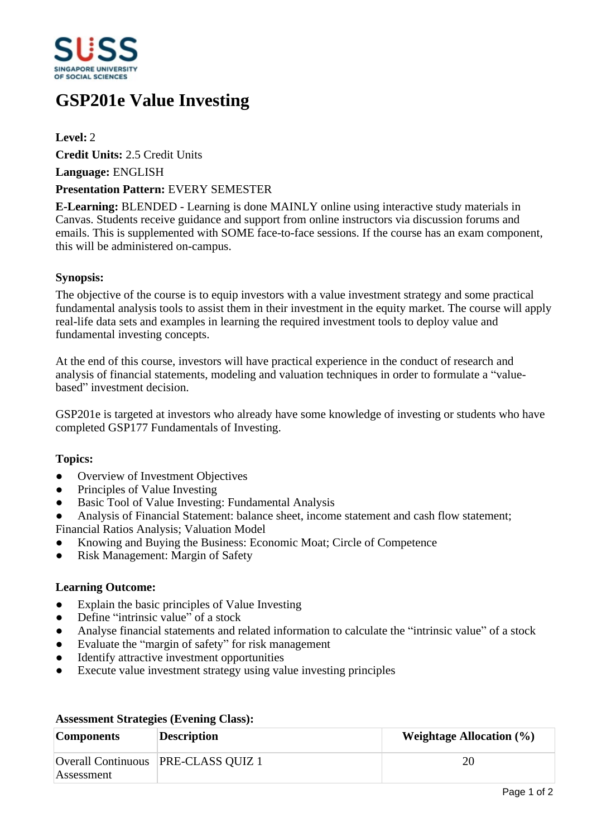

# **GSP201e Value Investing**

# **Level:** 2

**Credit Units:** 2.5 Credit Units

**Language:** ENGLISH

## **Presentation Pattern:** EVERY SEMESTER

**E-Learning:** BLENDED - Learning is done MAINLY online using interactive study materials in Canvas. Students receive guidance and support from online instructors via discussion forums and emails. This is supplemented with SOME face-to-face sessions. If the course has an exam component, this will be administered on-campus.

## **Synopsis:**

The objective of the course is to equip investors with a value investment strategy and some practical fundamental analysis tools to assist them in their investment in the equity market. The course will apply real-life data sets and examples in learning the required investment tools to deploy value and fundamental investing concepts.

At the end of this course, investors will have practical experience in the conduct of research and analysis of financial statements, modeling and valuation techniques in order to formulate a "valuebased" investment decision.

GSP201e is targeted at investors who already have some knowledge of investing or students who have completed GSP177 Fundamentals of Investing.

## **Topics:**

- Overview of Investment Objectives
- Principles of Value Investing
- Basic Tool of Value Investing: Fundamental Analysis
- Analysis of Financial Statement: balance sheet, income statement and cash flow statement; Financial Ratios Analysis; Valuation Model
- ƔKnowing and Buying the Business: Economic Moat; Circle of Competence
- Risk Management: Margin of Safety

#### **Learning Outcome:**

- Explain the basic principles of Value Investing
- $\bullet$  Define "intrinsic value" of a stock
- Analyse financial statements and related information to calculate the "intrinsic value" of a stock
- Evaluate the "margin of safety" for risk management
- Identify attractive investment opportunities
- Execute value investment strategy using value investing principles

| <b>Components</b> | <b>Description</b>                  | Weightage Allocation $(\% )$ |
|-------------------|-------------------------------------|------------------------------|
| Assessment        | Overall Continuous PRE-CLASS QUIZ 1 | 20                           |

#### **Assessment Strategies (Evening Class):**